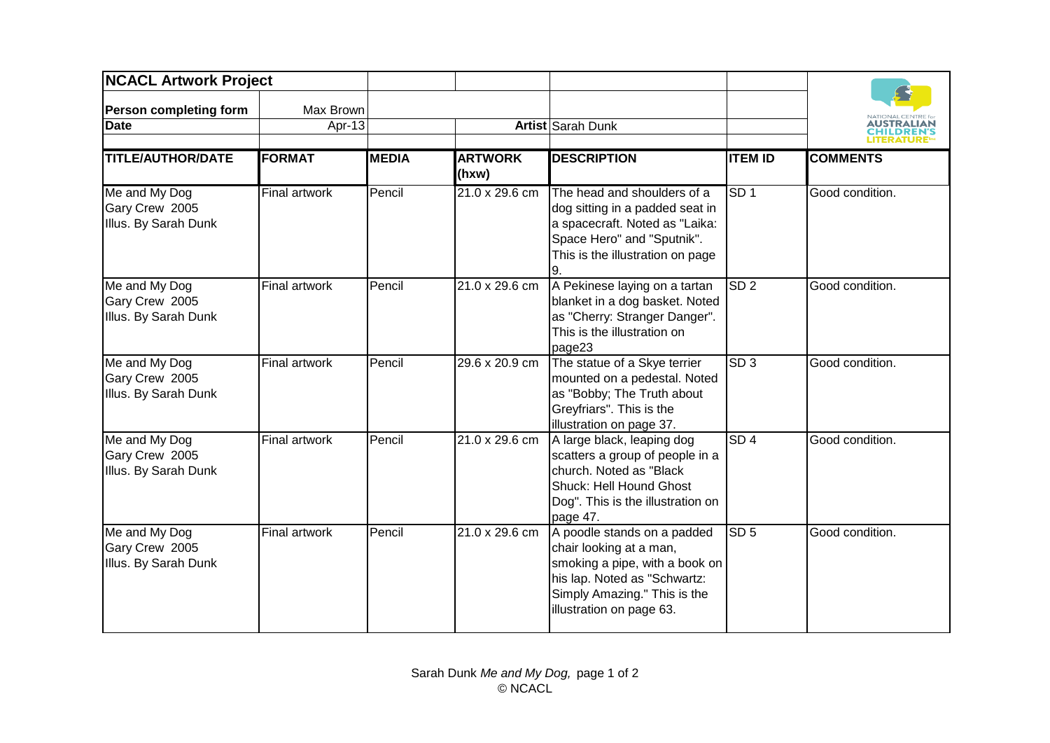| <b>NCACL Artwork Project</b>                            |                      |              |                         |                                                                                                                                                                                      |                 |                  |
|---------------------------------------------------------|----------------------|--------------|-------------------------|--------------------------------------------------------------------------------------------------------------------------------------------------------------------------------------|-----------------|------------------|
| <b>Person completing form</b>                           | Max Brown            |              |                         |                                                                                                                                                                                      |                 |                  |
| <b>Date</b>                                             | Apr-13               |              |                         | Artist Sarah Dunk                                                                                                                                                                    |                 | <b>ITERATURF</b> |
| <b>TITLE/AUTHOR/DATE</b>                                | <b>FORMAT</b>        | <b>MEDIA</b> | <b>ARTWORK</b><br>(hxw) | <b>DESCRIPTION</b>                                                                                                                                                                   | <b>ITEM ID</b>  | <b>COMMENTS</b>  |
| Me and My Dog<br>Gary Crew 2005<br>Illus. By Sarah Dunk | <b>Final artwork</b> | Pencil       | 21.0 x 29.6 cm          | The head and shoulders of a<br>dog sitting in a padded seat in<br>a spacecraft. Noted as "Laika:<br>Space Hero" and "Sputnik".<br>This is the illustration on page                   | SD <sub>1</sub> | Good condition.  |
| Me and My Dog<br>Gary Crew 2005<br>Illus. By Sarah Dunk | Final artwork        | Pencil       | 21.0 x 29.6 cm          | A Pekinese laying on a tartan<br>blanket in a dog basket. Noted<br>as "Cherry: Stranger Danger".<br>This is the illustration on<br>page23                                            | SD <sub>2</sub> | Good condition.  |
| Me and My Dog<br>Gary Crew 2005<br>Illus. By Sarah Dunk | Final artwork        | Pencil       | 29.6 x 20.9 cm          | The statue of a Skye terrier<br>mounted on a pedestal. Noted<br>as "Bobby; The Truth about<br>Greyfriars". This is the<br>illustration on page 37.                                   | SD <sub>3</sub> | Good condition.  |
| Me and My Dog<br>Gary Crew 2005<br>Illus. By Sarah Dunk | Final artwork        | Pencil       | 21.0 x 29.6 cm          | A large black, leaping dog<br>scatters a group of people in a<br>church. Noted as "Black<br>Shuck: Hell Hound Ghost<br>Dog". This is the illustration on<br>page 47.                 | SD4             | Good condition.  |
| Me and My Dog<br>Gary Crew 2005<br>Illus. By Sarah Dunk | <b>Final artwork</b> | Pencil       | 21.0 x 29.6 cm          | A poodle stands on a padded<br>chair looking at a man,<br>smoking a pipe, with a book on<br>his lap. Noted as "Schwartz:<br>Simply Amazing." This is the<br>illustration on page 63. | SD <sub>5</sub> | Good condition.  |